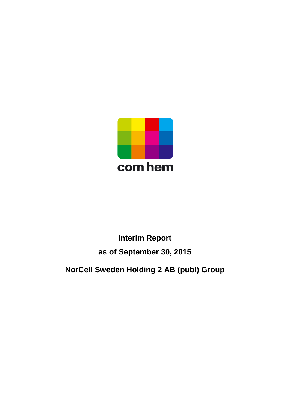

# **Interim Report as of September 30, 2015**

**NorCell Sweden Holding 2 AB (publ) Group**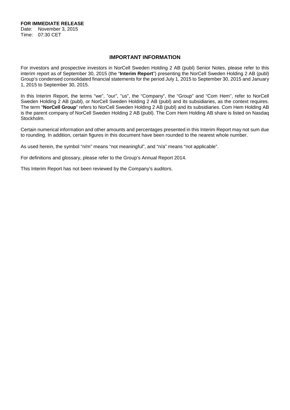**FOR IMMEDIATE RELEASE** Date: November 3, 2015

Time: 07:30 CET

### **IMPORTANT INFORMATION**

For investors and prospective investors in NorCell Sweden Holding 2 AB (publ) Senior Notes, please refer to this interim report as of September 30, 2015 (the "**Interim Report**") presenting the NorCell Sweden Holding 2 AB (publ) Group's condensed consolidated financial statements for the period July 1, 2015 to September 30, 2015 and January 1, 2015 to September 30, 2015.

In this Interim Report, the terms "we", "our", "us", the "Company", the "Group" and "Com Hem", refer to NorCell Sweden Holding 2 AB (publ), or NorCell Sweden Holding 2 AB (publ) and its subsidiaries, as the context requires. The term "**NorCell Group**" refers to NorCell Sweden Holding 2 AB (publ) and its subsidiaries. Com Hem Holding AB is the parent company of NorCell Sweden Holding 2 AB (publ). The Com Hem Holding AB share is listed on Nasdaq Stockholm.

Certain numerical information and other amounts and percentages presented in this Interim Report may not sum due to rounding. In addition, certain figures in this document have been rounded to the nearest whole number.

As used herein, the symbol "n/m" means "not meaningful", and "n/a" means "not applicable".

For definitions and glossary, please refer to the Group's Annual Report 2014.

This Interim Report has not been reviewed by the Company's auditors.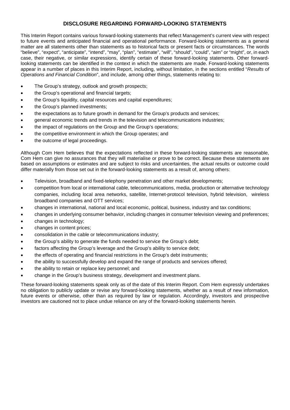### **DISCLOSURE REGARDING FORWARD-LOOKING STATEMENTS**

This Interim Report contains various forward-looking statements that reflect Management's current view with respect to future events and anticipated financial and operational performance. Forward-looking statements as a general matter are all statements other than statements as to historical facts or present facts or circumstances. The words "believe", "expect", "anticipate", "intend", "may", "plan", "estimate", "will", "should", "could", "aim" or "might", or, in each case, their negative, or similar expressions, identify certain of these forward-looking statements. Other forwardlooking statements can be identified in the context in which the statements are made. Forward-looking statements appear in a number of places in this Interim Report, including, without limitation, in the sections entitled "*Results of Operations and Financial Condition*", and include, among other things, statements relating to:

- The Group's strategy, outlook and growth prospects;
- the Group's operational and financial targets;
- the Group's liquidity, capital resources and capital expenditures;
- the Group's planned investments;
- the expectations as to future growth in demand for the Group's products and services;
- general economic trends and trends in the television and telecommunications industries;
- the impact of regulations on the Group and the Group's operations;
- the competitive environment in which the Group operates; and
- the outcome of legal proceedings.

Although Com Hem believes that the expectations reflected in these forward-looking statements are reasonable, Com Hem can give no assurances that they will materialise or prove to be correct. Because these statements are based on assumptions or estimates and are subject to risks and uncertainties, the actual results or outcome could differ materially from those set out in the forward-looking statements as a result of, among others:

- Television, broadband and fixed-telephony penetration and other market developments;
- competition from local or international cable, telecommunications, media, production or alternative technology companies, including local area networks, satellite, Internet-protocol television, hybrid television, wireless broadband companies and OTT services;
- changes in international, national and local economic, political, business, industry and tax conditions;
- changes in underlying consumer behavior, including changes in consumer television viewing and preferences;
- changes in technology;
- changes in content prices;
- consolidation in the cable or telecommunications industry;
- the Group's ability to generate the funds needed to service the Group's debt;
- factors affecting the Group's leverage and the Group's ability to service debt;
- the effects of operating and financial restrictions in the Group's debt instruments;
- the ability to successfully develop and expand the range of products and services offered;
- the ability to retain or replace key personnel; and
- change in the Group's business strategy, development and investment plans.

These forward-looking statements speak only as of the date of this Interim Report. Com Hem expressly undertakes no obligation to publicly update or revise any forward-looking statements, whether as a result of new information, future events or otherwise, other than as required by law or regulation. Accordingly, investors and prospective investors are cautioned not to place undue reliance on any of the forward-looking statements herein.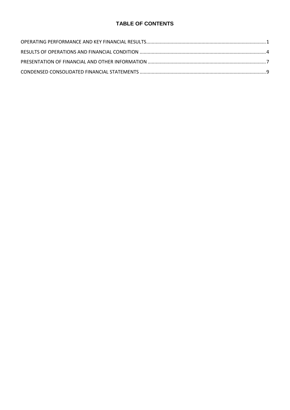# **TABLE OF CONTENTS**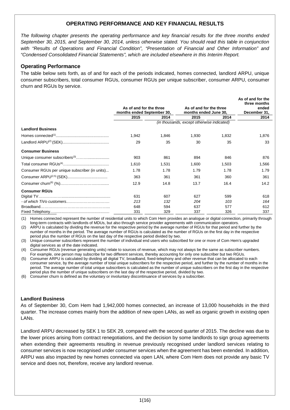## **OPERATING PERFORMANCE AND KEY FINANCIAL RESULTS**

*The following chapter presents the operating performance and key financial results for the three months ended September 30, 2015, and September 30, 2014, unless otherwise stated. You should read this table in conjunction with "Results of Operations and Financial Condition", "Presentation of Financial and Other Information" and "Condensed Consolidated Financial Statements", which are included elsewhere in this Interim Report.* 

### **Operating Performance**

The table below sets forth, as of and for each of the periods indicated, homes connected, landlord ARPU, unique consumer subscribers, total consumer RGUs, consumer RGUs per unique subscriber, consumer ARPU, consumer churn and RGUs by service.

|                                                | As of and for the three    |       | As of and for the three                    |       | As of and for the<br>three months<br>ended |
|------------------------------------------------|----------------------------|-------|--------------------------------------------|-------|--------------------------------------------|
|                                                | months ended September 30, |       | months ended June 30,                      |       | December 31,                               |
|                                                | 2015                       | 2014  | 2015                                       | 2014  | 2014                                       |
|                                                |                            |       | (in thousands, except otherwise indicated) |       |                                            |
| <b>Landlord Business</b>                       |                            |       |                                            |       |                                            |
|                                                | 1,942                      | 1,846 | 1,930                                      | 1,832 | 1,876                                      |
|                                                | 29                         | 35    | 30                                         | 35    | 33                                         |
| <b>Consumer Business</b>                       |                            |       |                                            |       |                                            |
|                                                | 903                        | 861   | 894                                        | 846   | 876                                        |
|                                                | 1.610                      | 1,531 | 1,600                                      | 1,503 | 1,566                                      |
| Consumer RGUs per unique subscriber (in units) | 1.78                       | 1.78  | 1.79                                       | 1.78  | 1.79                                       |
|                                                | 363                        | 361   | 361                                        | 360   | 361                                        |
|                                                | 12.9                       | 14.8  | 13.7                                       | 16.4  | 14.2                                       |
| <b>Consumer RGUs</b>                           |                            |       |                                            |       |                                            |
|                                                | 631                        | 607   | 627                                        | 599   | 618                                        |
|                                                | 213                        | 132   | 204                                        | 103   | 164                                        |
|                                                | 648                        | 594   | 637                                        | 577   | 612                                        |
|                                                | 331                        | 329   | 337                                        | 326   | 337                                        |

(1) Homes connected represent the number of residential units to which Com Hem provides an analogue or digital connection, primarily through long-term contracts with landlords of MDUs, but also through service provider agreements with communication operators.

(2) ARPU is calculated by dividing the revenue for the respective period by the average number of RGUs for that period and further by the number of months in the period. The average number of RGUs is calculated as the number of RGUs on the first day in the respective period plus the number of RGUs on the last day of the respective period divided by two.

(3) Unique consumer subscribers represent the number of individual end users who subscribed for one or more of Com Hem's upgraded digital services as of the date indicated.

(4) Consumer RGUs (revenue generating units) relate to sources of revenue, which may not always be the same as subscriber numbers. For example, one person may subscribe for two different services, thereby accounting for only one subscriber but two RGUs.

(5) Consumer ARPU is calculated by dividing all digital TV, broadband, fixed-telephony and other revenue that can be allocated to each consumer service, by the average number of total unique subscribers for the respective period, and further by the number of months in the period. The average number of total unique subscribers is calculated as the number of unique subscribers on the first day in the respective period plus the number of unique subscribers on the last day of the respective period, divided by two.

(6) Consumer churn is defined as the voluntary or involuntary discontinuance of services by a subscriber.

### **Landlord Business**

As of September 30, Com Hem had 1,942,000 homes connected, an increase of 13,000 households in the third quarter. The increase comes mainly from the addition of new open LANs, as well as organic growth in existing open LANs.

Landlord ARPU decreased by SEK 1 to SEK 29, compared with the second quarter of 2015. The decline was due to the lower prices arising from contract renegotiations, and the decision by some landlords to sign group agreements when extending their agreements resulting in revenue previously recognised under landlord services relating to consumer services is now recognised under consumer services when the agreement has been extended. In addition, ARPU was also impacted by new homes connected via open LAN, where Com Hem does not provide any basic TV service and does not, therefore, receive any landlord revenue.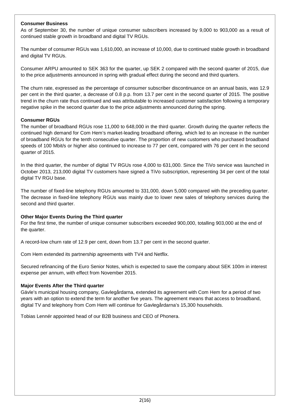### **Consumer Business**

As of September 30, the number of unique consumer subscribers increased by 9,000 to 903,000 as a result of continued stable growth in broadband and digital TV RGUs.

The number of consumer RGUs was 1,610,000, an increase of 10,000, due to continued stable growth in broadband and digital TV RGUs.

Consumer ARPU amounted to SEK 363 for the quarter, up SEK 2 compared with the second quarter of 2015, due to the price adjustments announced in spring with gradual effect during the second and third quarters.

The churn rate, expressed as the percentage of consumer subscriber discontinuance on an annual basis, was 12.9 per cent in the third quarter, a decrease of 0.8 p.p. from 13.7 per cent in the second quarter of 2015. The positive trend in the churn rate thus continued and was attributable to increased customer satisfaction following a temporary negative spike in the second quarter due to the price adjustments announced during the spring.

### **Consumer RGUs**

The number of broadband RGUs rose 11,000 to 648,000 in the third quarter. Growth during the quarter reflects the continued high demand for Com Hem's market-leading broadband offering, which led to an increase in the number of broadband RGUs for the tenth consecutive quarter. The proportion of new customers who purchased broadband speeds of 100 Mbit/s or higher also continued to increase to 77 per cent, compared with 76 per cent in the second quarter of 2015.

In the third quarter, the number of digital TV RGUs rose 4,000 to 631,000. Since the TiVo service was launched in October 2013, 213,000 digital TV customers have signed a TiVo subscription, representing 34 per cent of the total digital TV RGU base.

The number of fixed-line telephony RGUs amounted to 331,000, down 5,000 compared with the preceding quarter. The decrease in fixed-line telephony RGUs was mainly due to lower new sales of telephony services during the second and third quarter.

### **Other Major Events During the Third quarter**

For the first time, the number of unique consumer subscribers exceeded 900,000, totalling 903,000 at the end of the quarter.

A record-low churn rate of 12.9 per cent, down from 13.7 per cent in the second quarter.

Com Hem extended its partnership agreements with TV4 and Netflix.

Secured refinancing of the Euro Senior Notes, which is expected to save the company about SEK 100m in interest expense per annum, with effect from November 2015.

### **Major Events After the Third quarter**

Gävle's municipal housing company, Gavlegårdarna, extended its agreement with Com Hem for a period of two years with an option to extend the term for another five years. The agreement means that access to broadband, digital TV and telephony from Com Hem will continue for Gavlegårdarna's 15,300 households.

Tobias Lennér appointed head of our B2B business and CEO of Phonera.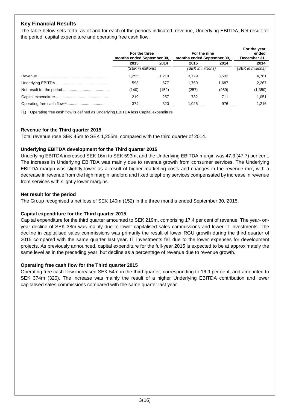# **Key Financial Results**

The table below sets forth, as of and for each of the periods indicated, revenue, Underlying EBITDA, Net result for the period, capital expenditure and operating free cash flow.

| For the three<br>months ended September 30, |       | For the nine<br>months ended September 30, | For the year<br>ended<br>December 31, |                   |
|---------------------------------------------|-------|--------------------------------------------|---------------------------------------|-------------------|
| 2015                                        | 2014  | 2015                                       | 2014                                  | 2014              |
| (SEK in millions)                           |       | (SEK in millions)                          |                                       | (SEK in millions) |
| 1.255                                       | 1.210 | 3.729                                      | 3.532                                 | 4.761             |
| 593                                         | 577   | 1.759                                      | 1.687                                 | 2,267             |
| (140)                                       | (152) | (257)                                      | (989)                                 | (1,350)           |
| 219                                         | 257   | 732                                        | 711                                   | 1.051             |
| 374                                         | 320   | 1.026                                      | 976                                   | 1.216             |

(1) Operating free cash flow is defined as Underlying EBITDA less Capital expenditure

### **Revenue for the Third quarter 2015**

Total revenue rose SEK 45m to SEK 1,255m, compared with the third quarter of 2014.

### **Underlying EBITDA development for the Third quarter 2015**

Underlying EBITDA increased SEK 16m to SEK 593m, and the Underlying EBITDA margin was 47.3 (47.7) per cent. The increase in Underlying EBITDA was mainly due to revenue growth from consumer services. The Underlying EBITDA margin was slightly lower as a result of higher marketing costs and changes in the revenue mix, with a decrease in revenue from the high margin landlord and fixed telephony services compensated by increase in revenue from services with slightly lower margins.

### **Net result for the period**

The Group recognised a net loss of SEK 140m (152) in the three months ended September 30, 2015.

### **Capital expenditure for the Third quarter 2015**

Capital expenditure for the third quarter amounted to SEK 219m, comprising 17.4 per cent of revenue. The year- onyear decline of SEK 38m was mainly due to lower capitalised sales commissions and lower IT investments. The decline in capitalised sales commissions was primarily the result of lower RGU growth during the third quarter of 2015 compared with the same quarter last year. IT investments fell due to the lower expenses for development projects. As previously announced, capital expenditure for the full-year 2015 is expected to be at approximately the same level as in the preceding year, but decline as a percentage of revenue due to revenue growth.

### **Operating free cash flow for the Third quarter 2015**

Operating free cash flow increased SEK 54m in the third quarter, corresponding to 16.9 per cent, and amounted to SEK 374m (320). The increase was mainly the result of a higher Underlying EBITDA contribution and lower capitalised sales commissions compared with the same quarter last year.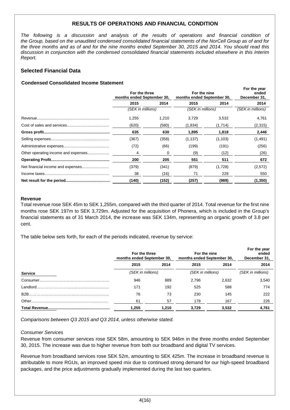# **RESULTS OF OPERATIONS AND FINANCIAL CONDITION**

*The following is a discussion and analysis of the results of operations and financial condition of the Group, based on the unaudited condensed consolidated financial statements of the NorCell Group as of and for the three months and as of and for the nine months ended September 30, 2015 and 2014. You should read this discussion in conjunction with the condensed consolidated financial statements included elsewhere in this Interim Report.*

## **Selected Financial Data**

### **Condensed Consolidated Income Statement**

| For the three<br>months ended September 30, |       | For the nine<br>months ended September 30. | For the year<br>ended<br>December 31, |                   |
|---------------------------------------------|-------|--------------------------------------------|---------------------------------------|-------------------|
| 2015                                        | 2014  | 2015                                       | 2014                                  | 2014              |
| (SEK in millions)                           |       | (SEK in millions)                          |                                       | (SEK in millions) |
| 1,255                                       | 1,210 | 3,729                                      | 3,532                                 | 4,761             |
| (620)                                       | (580) | (1.834)                                    | (1.714)                               | (2,315)           |
| 635                                         | 630   | 1,895                                      | 1,818                                 | 2,446             |
| (367)                                       | (358) | (1, 137)                                   | (1, 103)                              | (1, 491)          |
| (72)                                        | (66)  | (199)                                      | (191)                                 | (256)             |
| 4                                           | 0     | (9)                                        | (12)                                  | (26)              |
| 200                                         | 205   | 551                                        | 511                                   | 672               |
| (379)                                       | (341) | (879)                                      | (1,728)                               | (2,572)           |
| 38                                          | (16)  | 71                                         | 228                                   | 550               |
| (140)                                       | (152) | (257)                                      | (989)                                 | (1,350)           |

#### **Revenue**

Total revenue rose SEK 45m to SEK 1,255m, compared with the third quarter of 2014. Total revenue for the first nine months rose SEK 197m to SEK 3,729m. Adjusted for the acquisition of Phonera, which is included in the Group's financial statements as of 31 March 2014, the increase was SEK 134m, representing an organic growth of 3.8 per cent.

The table below sets forth, for each of the periods indicated, revenue by service:

|                | For the three<br>months ended September 30, |       | For the nine<br>months ended September 30, | For the year<br>ended<br>December 31, |                   |  |
|----------------|---------------------------------------------|-------|--------------------------------------------|---------------------------------------|-------------------|--|
|                | 2015                                        | 2014  | 2015                                       | 2014                                  | 2014              |  |
| <b>Service</b> | (SEK in millions)                           |       | (SEK in millions)                          |                                       | (SEK in millions) |  |
|                | 946                                         | 889   | 2.796                                      | 2.632                                 | 3,540             |  |
| Landlord.      | 171                                         | 192   | 525                                        | 588                                   | 774               |  |
| <b>B2B.</b>    | 76                                          | 73    | 230                                        | 145                                   | 222               |  |
|                | 61                                          | 57    | 178                                        | 167                                   | 226               |  |
|                | 1,255                                       | 1,210 | 3,729                                      | 3,532                                 | 4,761             |  |

*Comparisons between Q3 2015 and Q3 2014, unless otherwise stated.*

### *Consumer Services*

Revenue from consumer services rose SEK 58m, amounting to SEK 946m in the three months ended September 30, 2015. The increase was due to higher revenue from both our broadband and digital TV services.

Revenue from broadband services rose SEK 52m, amounting to SEK 425m. The increase in broadband revenue is attributable to more RGUs, an improved speed mix due to continued strong demand for our high-speed broadband packages, and the price adjustments gradually implemented during the last two quarters.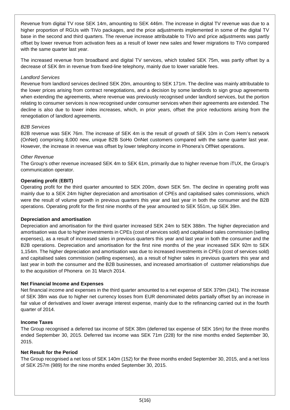Revenue from digital TV rose SEK 14m, amounting to SEK 446m. The increase in digital TV revenue was due to a higher proportion of RGUs with TiVo packages, and the price adjustments implemented in some of the digital TV base in the second and third quarters. The revenue increase attributable to TiVo and price adjustments was partly offset by lower revenue from activation fees as a result of lower new sales and fewer migrations to TiVo compared with the same quarter last year.

The increased revenue from broadband and digital TV services, which totalled SEK 75m, was partly offset by a decrease of SEK 8m in revenue from fixed-line telephony, mainly due to lower variable fees.

### *Landlord Services*

Revenue from landlord services declined SEK 20m, amounting to SEK 171m. The decline was mainly attributable to the lower prices arising from contract renegotiations, and a decision by some landlords to sign group agreements when extending the agreements, where revenue was previously recognised under landlord services, but the portion relating to consumer services is now recognised under consumer services when their agreements are extended. The decline is also due to lower index increases, which, in prior years, offset the price reductions arising from the renegotiation of landlord agreements.

### *B2B Services*

B2B revenue was SEK 76m. The increase of SEK 4m is the result of growth of SEK 10m in Com Hem's network (OnNet) comprising 8,000 new, unique B2B SoHo OnNet customers compared with the same quarter last year. However, the increase in revenue was offset by lower telephony income in Phonera's OffNet operations.

### *Other Revenue*

The Group's other revenue increased SEK 4m to SEK 61m, primarily due to higher revenue from iTUX, the Group's communication operator.

### **Operating profit** (**EBIT)**

Operating profit for the third quarter amounted to SEK 200m, down SEK 5m. The decline in operating profit was mainly due to a SEK 24m higher depreciation and amortisation of CPEs and capitalised sales commissions, which were the result of volume growth in previous quarters this year and last year in both the consumer and the B2B operations. Operating profit for the first nine months of the year amounted to SEK 551m, up SEK 39m.

### **Depreciation and amortisation**

Depreciation and amortisation for the third quarter increased SEK 24m to SEK 388m. The higher depreciation and amortisation was due to higher investments in CPEs (cost of services sold) and capitalised sales commission (selling expenses), as a result of increased sales in previous quarters this year and last year in both the consumer and the B2B operations. Depreciation and amortisation for the first nine months of the year increased SEK 92m to SEK 1,154m. The higher depreciation and amortisation was due to increased investments in CPEs (cost of services sold) and capitalised sales commission (selling expenses), as a result of higher sales in previous quarters this year and last year in both the consumer and the B2B businesses, and increased amortisation of customer relationships due to the acquisition of Phonera on 31 March 2014.

### **Net Financial Income and Expenses**

Net financial income and expenses in the third quarter amounted to a net expense of SEK 379m (341). The increase of SEK 38m was due to higher net currency losses from EUR denominated debts partially offset by an increase in fair value of derivatives and lower average interest expense, mainly due to the refinancing carried out in the fourth quarter of 2014.

### **Income Taxes**

The Group recognised a deferred tax income of SEK 38m (deferred tax expense of SEK 16m) for the three months ended September 30, 2015. Deferred tax income was SEK 71m (228) for the nine months ended September 30, 2015.

### **Net Result for the Period**

The Group recognised a net loss of SEK 140m (152) for the three months ended September 30, 2015, and a net loss of SEK 257m (989) for the nine months ended September 30, 2015.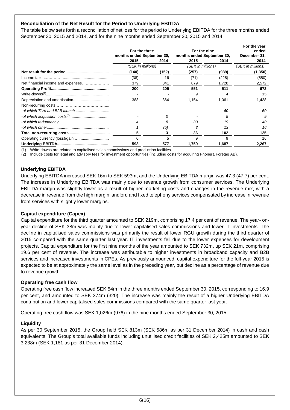# **Reconciliation of the Net Result for the Period to Underlying EBITDA**

The table below sets forth a reconciliation of net loss for the period to Underlying EBITDA for the three months ended September 30, 2015 and 2014, and for the nine months ended September 30, 2015 and 2014.

|                                   | For the three<br>months ended September 30, |       | For the nine<br>months ended September 30, |       | For the year<br>ended<br>December 31, |
|-----------------------------------|---------------------------------------------|-------|--------------------------------------------|-------|---------------------------------------|
|                                   | 2015                                        | 2014  | 2015                                       | 2014  | 2014                                  |
|                                   | (SEK in millions)                           |       | (SEK in millions)                          |       | (SEK in millions)                     |
|                                   | (140)                                       | (152) | (257)                                      | (989) | (1, 350)                              |
|                                   | (38)                                        | 16    | (71)                                       | (228) | (550)                                 |
| Net financial income and expenses | 379                                         | 341   | 879                                        | 1,728 | 2,572                                 |
|                                   | 200                                         | 205   | 551                                        | 511   | 672                                   |
|                                   |                                             |       | 9                                          |       | 15                                    |
|                                   | 388                                         | 364   | 1,154                                      | 1,061 | 1,438                                 |
|                                   |                                             |       |                                            |       |                                       |
|                                   |                                             |       |                                            | 60    | 60                                    |
|                                   |                                             |       |                                            | 9     | 9                                     |
|                                   |                                             | я     | 33                                         | 19    | 40                                    |
|                                   |                                             | (5)   |                                            | 13    | 16                                    |
|                                   |                                             | 3     | 36                                         | 102   | 125                                   |
| Operating currency (loss)/gain    |                                             | 5     | 9                                          | 9     | 16                                    |
|                                   | 593                                         | 577   | 1,759                                      | 1,687 | 2,267                                 |

(1) Write-downs are related to capitalised sales commissions and production facilities.

(2) Include costs for legal and advisory fees for investment opportunities (including costs for acquiring Phonera Företag AB).

### **Underlying EBITDA**

Underlying EBITDA increased SEK 16m to SEK 593m, and the Underlying EBITDA margin was 47.3 (47.7) per cent. The increase in Underlying EBITDA was mainly due to revenue growth from consumer services. The Underlying EBITDA margin was slightly lower as a result of higher marketing costs and changes in the revenue mix, with a decrease in revenue from the high margin landlord and fixed telephony services compensated by increase in revenue from services with slightly lower margins.

#### **Capital expenditure (Capex)**

Capital expenditure for the third quarter amounted to SEK 219m, comprising 17.4 per cent of revenue. The year- onyear decline of SEK 38m was mainly due to lower capitalised sales commissions and lower IT investments. The decline in capitalised sales commissions was primarily the result of lower RGU growth during the third quarter of 2015 compared with the same quarter last year. IT investments fell due to the lower expenses for development projects. Capital expenditure for the first nine months of the year amounted to SEK 732m, up SEK 21m, comprising 19.6 per cent of revenue. The increase was attributable to higher investments in broadband capacity and B2B services and increased investments in CPEs. As previously announced, capital expenditure for the full-year 2015 is expected to be at approximately the same level as in the preceding year, but decline as a percentage of revenue due to revenue growth.

#### **Operating free cash flow**

Operating free cash flow increased SEK 54m in the three months ended September 30, 2015, corresponding to 16.9 per cent, and amounted to SEK 374m (320). The increase was mainly the result of a higher Underlying EBITDA contribution and lower capitalised sales commissions compared with the same quarter last year.

Operating free cash flow was SEK 1,026m (976) in the nine months ended September 30, 2015.

#### **Liquidity**

As per 30 September 2015, the Group held SEK 813m (SEK 586m as per 31 December 2014) in cash and cash equivalents. The Group's total available funds including unutilised credit facilities of SEK 2,425m amounted to SEK 3,238m (SEK 1,181 as per 31 December 2014).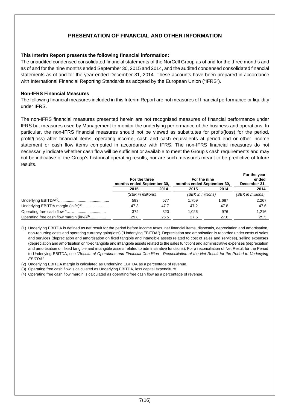# **PRESENTATION OF FINANCIAL AND OTHER INFORMATION**

### **This Interim Report presents the following financial information:**

The unaudited condensed consolidated financial statements of the NorCell Group as of and for the three months and as of and for the nine months ended September 30, 2015 and 2014, and the audited condensed consolidated financial statements as of and for the year ended December 31, 2014. These accounts have been prepared in accordance with International Financial Reporting Standards as adopted by the European Union ("IFRS").

#### **Non-IFRS Financial Measures**

The following financial measures included in this Interim Report are not measures of financial performance or liquidity under IFRS.

The non-IFRS financial measures presented herein are not recognised measures of financial performance under IFRS but measures used by Management to monitor the underlying performance of the business and operations. In particular, the non-IFRS financial measures should not be viewed as substitutes for profit/(loss) for the period, profit/(loss) after financial items, operating income, cash and cash equivalents at period end or other income statement or cash flow items computed in accordance with IFRS. The non-IFRS financial measures do not necessarily indicate whether cash flow will be sufficient or available to meet the Group's cash requirements and may not be indicative of the Group's historical operating results, nor are such measures meant to be predictive of future results.

|                                                      | For the three<br>months ended September 30, |      | For the nine<br>months ended September 30, | For the year<br>ended<br>December 31, |                   |
|------------------------------------------------------|---------------------------------------------|------|--------------------------------------------|---------------------------------------|-------------------|
|                                                      | 2015                                        | 2014 | 2015                                       | 2014                                  | 2014              |
|                                                      | (SEK in millions)                           |      | (SEK in millions)                          |                                       | (SEK in millions) |
|                                                      | 593                                         | 577  | 1.759                                      | 1.687                                 | 2,267             |
| Underlying EBITDA margin (in %) <sup>(2)</sup>       | 47.3                                        | 47.7 | 47.2                                       | 47.8                                  | 47.6              |
|                                                      | 374                                         | 320  | 1.026                                      | 976                                   | 1,216             |
| Operating free cash flow margin (in%) <sup>(4)</sup> | 29.8                                        | 26.5 | 27.5                                       | 27.6                                  | 25.5              |

(1) Underlying EBITDA is defined as net result for the period before income taxes, net financial items, disposals, depreciation and amortisation, non-recurring costs and operating currency gain/(loss) ("Underlying EBITDA"). Depreciation and amortisation is recorded under costs of sales and services (depreciation and amortisation on fixed tangible and intangible assets related to cost of sales and services), selling expenses (depreciation and amortisation on fixed tangible and intangible assets related to the sales function) and administrative expenses (depreciation and amortisation on fixed tangible and intangible assets related to administrative functions). For a reconciliation of Net Result for the Period to Underlying EBITDA, see *"Results of Operations and Financial Condition* - *Reconciliation of the Net Result for the Period to Underlying EBITDA"*.

- (2) Underlying EBITDA margin is calculated as Underlying EBITDA as a percentage of revenue.
- (3) Operating free cash flow is calculated as Underlying EBITDA, less capital expenditure.
- (4) Operating free cash flow margin is calculated as operating free cash flow as a percentage of revenue.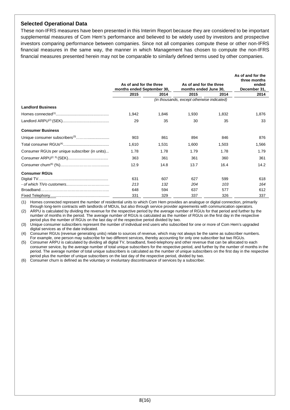### **Selected Operational Data**

These non-IFRS measures have been presented in this Interim Report because they are considered to be important supplemental measures of Com Hem's performance and believed to be widely used by investors and prospective investors comparing performance between companies. Since not all companies compute these or other non-IFRS financial measures in the same way, the manner in which Management has chosen to compute the non-IFRS financial measures presented herein may not be comparable to similarly defined terms used by other companies.

|                                                | As of and for the three<br>months ended September 30, |       | As of and for the three<br>months ended June 30, |       | As of and for the<br>three months<br>ended<br>December 31, |
|------------------------------------------------|-------------------------------------------------------|-------|--------------------------------------------------|-------|------------------------------------------------------------|
|                                                | 2015                                                  | 2014  | 2015                                             | 2014  | 2014                                                       |
|                                                |                                                       |       | (in thousands, except otherwise indicated)       |       |                                                            |
| <b>Landlord Business</b>                       |                                                       |       |                                                  |       |                                                            |
|                                                | 1,942                                                 | 1,846 | 1.930                                            | 1,832 | 1.876                                                      |
|                                                | 29                                                    | 35    | 30                                               | 35    | 33                                                         |
| <b>Consumer Business</b>                       |                                                       |       |                                                  |       |                                                            |
|                                                | 903                                                   | 861   | 894                                              | 846   | 876                                                        |
|                                                | 1,610                                                 | 1,531 | 1,600                                            | 1,503 | 1,566                                                      |
| Consumer RGUs per unique subscriber (in units) | 1.78                                                  | 1.78  | 1.79                                             | 1.78  | 1.79                                                       |
|                                                | 363                                                   | 361   | 361                                              | 360   | 361                                                        |
|                                                | 12.9                                                  | 14.8  | 13.7                                             | 16.4  | 14.2                                                       |
| <b>Consumer RGUs</b>                           |                                                       |       |                                                  |       |                                                            |
|                                                | 631                                                   | 607   | 627                                              | 599   | 618                                                        |
|                                                | 213                                                   | 132   | 204                                              | 103   | 164                                                        |
|                                                | 648                                                   | 594   | 637                                              | 577   | 612                                                        |
|                                                | 331                                                   | 329   | 337                                              | 326   | 337                                                        |

(1) Homes connected represent the number of residential units to which Com Hem provides an analogue or digital connection, primarily through long-term contracts with landlords of MDUs, but also through service provider agreements with communication operators.

(2) ARPU is calculated by dividing the revenue for the respective period by the average number of RGUs for that period and further by the number of months in the period. The average number of RGUs is calculated as the number of RGUs on the first day in the respective period plus the number of RGUs on the last day of the respective period divided by two.

(3) Unique consumer subscribers represent the number of individual end users who subscribed for one or more of Com Hem's upgraded digital services as of the date indicated.

(4) Consumer RGUs (revenue generating units) relate to sources of revenue, which may not always be the same as subscriber numbers. For example, one person may subscribe for two different services, thereby accounting for only one subscriber but two RGUs.

(5) Consumer ARPU is calculated by dividing all digital TV, broadband, fixed-telephony and other revenue that can be allocated to each consumer service, by the average number of total unique subscribers for the respective period, and further by the number of months in the period. The average number of total unique subscribers is calculated as the number of unique subscribers on the first day in the respective period plus the number of unique subscribers on the last day of the respective period, divided by two.

(6) Consumer churn is defined as the voluntary or involuntary discontinuance of services by a subscriber.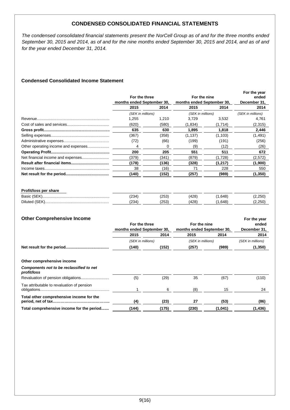# **CONDENSED CONSOLIDATED FINANCIAL STATEMENTS**

*The condensed consolidated financial statements present the NorCell Group as of and for the three months ended September 30, 2015 and 2014, as of and for the nine months ended September 30, 2015 and 2014, and as of and for the year ended December 31, 2014.*

### **Condensed Consolidated Income Statement**

|                                     | For the three<br>months ended September 30, |       | For the nine<br>months ended September 30, |          | For the year<br>ended<br>December 31. |
|-------------------------------------|---------------------------------------------|-------|--------------------------------------------|----------|---------------------------------------|
|                                     | 2015                                        | 2014  | 2015                                       | 2014     | 2014                                  |
|                                     | (SEK in millions)                           |       | (SEK in millions)                          |          | (SEK in millions)                     |
|                                     | 1,255                                       | 1.210 | 3.729                                      | 3,532    | 4.761                                 |
|                                     | (620)                                       | (580) | (1,834)                                    | (1,714)  | (2,315)                               |
|                                     | 635                                         | 630   | 1,895                                      | 1,818    | 2,446                                 |
|                                     | (367)                                       | (358) | (1, 137)                                   | (1, 103) | (1, 491)                              |
|                                     | (72)                                        | (66)  | (199)                                      | (191)    | (256)                                 |
| Other operating income and expenses | 4                                           | 0     | (9)                                        | (12)     | (26)                                  |
|                                     | 200                                         | 205   | 551                                        | 511      | 672                                   |
| Net financial income and expenses   | (379)                                       | (341) | (879)                                      | (1.728)  | (2,572)                               |
|                                     | (178)                                       | (136) | (328)                                      | (1,217)  | (1,900)                               |
|                                     | 38                                          | (16)  | 71                                         | 228      | 550                                   |
|                                     | (140)                                       | (152) | (257)                                      | (989)    | (1, 350)                              |

### **Profit/loss per share**

| Basi<br>   | - 44 | י המי            | 1201 | -15<br>т. |  |
|------------|------|------------------|------|-----------|--|
| Dilut<br>. | 74   | $C^{\text{eff}}$ | 100  | . .       |  |

| <b>Other Comprehensive Income</b>                                                     | For the three<br>months ended September 30, |       | For the nine                       | For the year<br>ended |                      |
|---------------------------------------------------------------------------------------|---------------------------------------------|-------|------------------------------------|-----------------------|----------------------|
|                                                                                       | 2015                                        | 2014  | months ended September 30,<br>2015 | 2014                  | December 31,<br>2014 |
|                                                                                       | (SEK in millions)                           |       | (SEK in millions)                  |                       | (SEK in millions)    |
|                                                                                       | (140)                                       | (152) | (257)                              | (989)                 | (1, 350)             |
| Other comprehensive income<br>Components not to be reclassified to net<br>profit/loss | (5)                                         | (29)  | 35                                 | (67)                  | (110)                |
| Tax attributable to revaluation of pension                                            |                                             | 6     | (8)                                | 15                    | 24                   |
| Total other comprehensive income for the                                              | (4)                                         | (23)  | 27                                 | (53)                  | (86)                 |
| Total comprehensive income for the period                                             | (144)                                       | (175) | (230)                              | (1,041)               | (1, 436)             |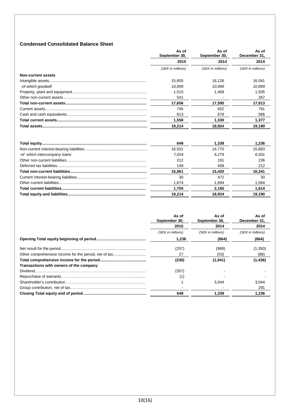### **Condensed Consolidated Balance Sheet**

|                              | As of<br>September 30, | As of<br>September 30, | As of<br>December 31, |
|------------------------------|------------------------|------------------------|-----------------------|
|                              | 2015                   | 2014                   | 2014                  |
|                              | (SEK in millions)      | (SEK in millions)      | (SEK in millions)     |
| <b>Non-current assets</b>    |                        |                        |                       |
|                              | 15,605                 | 16.126                 | 16,041                |
| -of which goodwill           | 10,899                 | 10,899                 | 10,899                |
|                              | 1,510                  | 1,469                  | 1,505                 |
|                              | 541                    |                        | 267                   |
|                              | 17,656                 | 17,595                 | 17,813                |
|                              | 745                    | 652                    | 791                   |
|                              | 813                    | 678                    | 586                   |
|                              | 1,558                  | 1,330                  | 1,377                 |
|                              | 19,214                 | 18,924                 | 19,190                |
|                              | 649                    | 1,339                  | 1,236                 |
|                              | 16,501                 | 14,770                 | 15,893                |
| -of which intercompany loans | 7,024                  | 6.279                  | 6,501                 |
|                              | 212                    | 191                    | 236                   |
|                              | 149                    | 458                    | 212                   |

| 16.861 | 15.420 | 16,341 |
|--------|--------|--------|
| 30     | 472    | 30     |
| 1.674  | .694   | .584   |
| 1.704  | 2.165  | 614.   |
| 19.214 | 18.924 | 19.190 |

|                                         | As of<br>September 30, | As of<br>September 30, | As of<br>December 31, |  |
|-----------------------------------------|------------------------|------------------------|-----------------------|--|
|                                         | 2015                   | 2014                   | 2014                  |  |
|                                         | (SEK in millions)      | (SEK in millions)      | (SEK in millions)     |  |
|                                         | 1,236                  | (664)                  | (664)                 |  |
|                                         | (257)                  | (989)                  | (1,350)               |  |
|                                         | 27                     | (53)                   | (86)                  |  |
|                                         | (230)                  | (1,041)                | (1, 436)              |  |
| Transactions with owners of the company |                        |                        |                       |  |
|                                         | (357)                  |                        |                       |  |
|                                         | (1)                    |                        |                       |  |
|                                         |                        | 3.044                  | 3,044                 |  |
|                                         |                        |                        | 291                   |  |
|                                         | 649                    | 1.339                  | 1,236                 |  |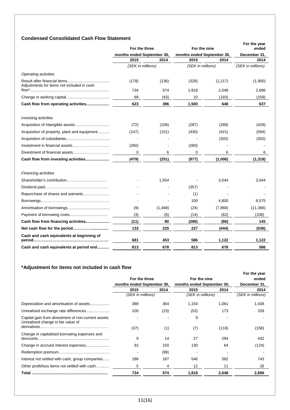# **Condensed Consolidated Cash Flow Statement**

|                                              | For the three              |         | For the nine               | For the year<br>ended |                   |
|----------------------------------------------|----------------------------|---------|----------------------------|-----------------------|-------------------|
|                                              | months ended September 30, |         | months ended September 30, |                       | December 31,      |
|                                              | 2015                       | 2014    | 2015                       | 2014                  | 2014              |
|                                              | (SEK in millions)          |         | (SEK in millions)          |                       | (SEK in millions) |
| Operating activities                         |                            |         |                            |                       |                   |
| Adjustments for items not included in cash   | (178)                      | (136)   | (328)                      | (1,217)               | (1,900)           |
|                                              | 734                        | 574     | 1,818                      | 2,048                 | 2,696             |
|                                              | 68                         | (43)    | 10                         | (183)                 | (159)             |
| Cash flow from operating activities          | 623                        | 396     | 1,500                      | 648                   | 637               |
| Investing activities                         |                            |         |                            |                       |                   |
|                                              | (72)                       | (106)   | (287)                      | (289)                 | (429)             |
| Acquisition of property, plant and equipment | (147)                      | (151)   | (430)                      | (421)                 | (594)             |
|                                              |                            |         |                            | (302)                 | (302)             |
|                                              | (260)                      |         | (260)                      |                       |                   |
| Divestment of financial assets               | 0                          | 6       | 0                          | 6                     | 6                 |
|                                              | (479)                      | (251)   | (977)                      | (1,006)               | (1, 318)          |
| <b>Financing activities</b>                  |                            |         |                            |                       |                   |
| Shareholder's contribution                   |                            | 1,554   |                            | 3,044                 | 3,044             |
|                                              |                            |         | (357)                      |                       |                   |
| Repurchase of shares and warrants            |                            |         | (1)                        |                       |                   |
|                                              |                            |         | 100                        | 4,800                 | 8,575             |
|                                              | (9)                        | (1,468) | (24)                       | (7,868)               | (11,366)          |
|                                              | (3)                        | (6)     | (14)                       | (62)                  | (108)             |
|                                              | (11)                       | 80      | (296)                      | (86)                  | 145               |
|                                              | 133                        | 225     | 227                        | (444)                 | (536)             |
| Cash and cash equivalents at beginning of    | 681                        | 453     | 586                        | 1.122                 | 1,122             |
| Cash and cash equivalents at period end      | 813                        | 678     | 813                        | 678                   | 586               |

# **\*Adjustment for items not included in cash flow**

|                                                                                          |                                             |      |                            |       | For the year      |
|------------------------------------------------------------------------------------------|---------------------------------------------|------|----------------------------|-------|-------------------|
|                                                                                          | For the three<br>months ended September 30, |      | For the nine               | ended |                   |
|                                                                                          |                                             |      | months ended September 30, |       | December 31,      |
|                                                                                          | 2015                                        | 2014 | 2015                       | 2014  | 2014              |
|                                                                                          | (SEK in millions)                           |      | (SEK in millions)          |       | (SEK in millions) |
|                                                                                          | 388                                         | 364  | 1,154                      | 1,061 | 1,438             |
| Unrealised exchange rate differences                                                     | 100                                         | (23) | (53)                       | 173   | 339               |
| Capital gain from divestment of non-current assets<br>Unrealised change in fair value of |                                             |      | 9                          |       |                   |
|                                                                                          | (37)                                        | (1)  | (7)                        | (118) | (158)             |
| Change in capitalised borrowing expenses and                                             | 9                                           | 14   | 27                         | 294   | 432               |
|                                                                                          | 81                                          | 150  | 130                        | 64    | (124)             |
|                                                                                          |                                             | (99) |                            |       |                   |
| Interest not settled with cash, group companies                                          | 188                                         | 167  | 546                        | 562   | 743               |
| Other profit/loss items not settled with cash                                            | 5                                           | 4    | 12                         | 11    | 26                |
|                                                                                          | 734                                         | 574  | 1,818                      | 2,048 | 2,696             |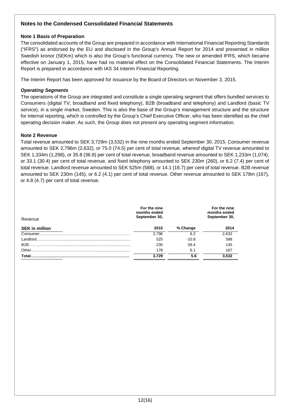# **Notes to the Condensed Consolidated Financial Statements**

### **Note 1 Basis of Preparation**

The consolidated accounts of the Group are prepared in accordance with International Financial Reporting Standards ("IFRS") as endorsed by the EU and disclosed in the Group's Annual Report for 2014 and presented in million Swedish kronor (SEKm) which is also the Group's functional currency. The new or amended IFRS, which became effective on January 1, 2015, have had no material effect on the Consolidated Financial Statements. The Interim Report is prepared in accordance with IAS 34 Interim Financial Reporting.

The Interim Report has been approved for issuance by the Board of Directors on November 3, 2015.

### *Operating Segments*

The operations of the Group are integrated and constitute a single operating segment that offers bundled services to Consumers (digital TV, broadband and fixed telephony), B2B (broadband and telephony) and Landlord (basic TV service), in a single market, Sweden. This is also the base of the Group's management structure and the structure for internal reporting, which is controlled by the Group's Chief Executive Officer, who has been identified as the chief operating decision maker. As such, the Group does not present any operating segment information.

### **Note 2 Revenue**

Total revenue amounted to SEK 3,729m (3,532) in the nine months ended September 30, 2015. Consumer revenue amounted to SEK 2,796m (2,632), or 75.0 (74.5) per cent of total revenue, whereof digital TV revenue amounted to SEK 1,334m (1,298), or 35.8 (36.8) per cent of total revenue, broadband revenue amounted to SEK 1,233m (1,074), or 33.1 (30.4) per cent of total revenue, and fixed telephony amounted to SEK 230m (260), or 6.2 (7.4) per cent of total revenue. Landlord revenue amounted to SEK 525m (588), or 14.1 (16.7) per cent of total revenue. B2B revenue amounted to SEK 230m (145), or 6.2 (4.1) per cent of total revenue. Other revenue amounted to SEK 178m (167), or 4.8 (4.7) per cent of total revenue.

| Revenue               | For the nine<br>months ended<br>September 30, |          | For the nine<br>months ended<br>September 30, |
|-----------------------|-----------------------------------------------|----------|-----------------------------------------------|
| <b>SEK in million</b> | 2015                                          | % Change | 2014                                          |
|                       | 2.796                                         | 6.2      | 2,632                                         |
| Landlord.             | 525                                           | $-10.8$  | 588                                           |
|                       | 230                                           | 59.4     | 145                                           |
| Other $\dots$         | 178                                           | 6.1      | 167                                           |
| Total.                | 3.729                                         | 5.6      | 3,532                                         |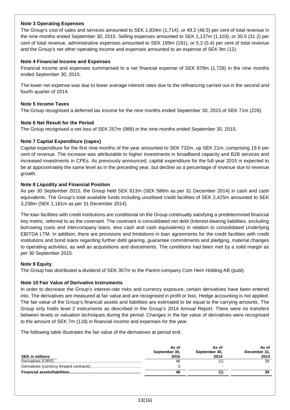### **Note 3 Operating Expenses**

The Group's cost of sales and services amounted to SEK 1,834m (1,714), or 49.2 (48.5) per cent of total revenue in the nine months ended September 30, 2015. Selling expenses amounted to SEK 1,137m (1,103), or 30.5 (31.2) per cent of total revenue, administrative expenses amounted to SEK 199m (191), or 5.3 (5.4) per cent of total revenue and the Group's net other operating income and expenses amounted to an expense of SEK 9m (12).

### **Note 4 Financial Income and Expenses**

Financial income and expenses summarised to a net financial expense of SEK 879m (1,728) in the nine months ended September 30, 2015.

The lower net expense was due to lower average interest rates due to the refinancing carried out in the second and fourth quarter of 2014.

#### **Note 5 Income Taxes**

The Group recognised a deferred tax income for the nine months ended September 30, 2015 of SEK 71m (228).

#### **Note 6 Net Result for the Period**

The Group recognised a net loss of SEK 257m (989) in the nine months ended September 30, 2015.

#### **Note 7 Capital Expenditure (capex)**

Capital expenditure for the first nine months of the year amounted to SEK 732m, up SEK 21m, comprising 19.6 per cent of revenue. The increase was attributable to higher investments in broadband capacity and B2B services and increased investments in CPEs. As previously announced, capital expenditure for the full-year 2015 is expected to be at approximately the same level as in the preceding year, but decline as a percentage of revenue due to revenue growth.

### **Note 8 Liquidity and Financial Position**

As per 30 September 2015, the Group held SEK 813m (SEK 586m as per 31 December 2014) in cash and cash equivalents. The Group's total available funds including unutilised credit facilities of SEK 2,425m amounted to SEK 3,238m (SEK 1,181m as per 31 December 2014).

The loan facilities with credit institutions are conditional on the Group continually satisfying a predetermined financial key metric, referred to as the covenant. The covenant is consolidated net debt (Interest-bearing liabilities, excluding borrowing costs and intercompany loans, less cash and cash equivalents) in relation to consolidated Underlying EBITDA LTM. In addition, there are provisions and limitations in loan agreements for the credit facilities with credit institutions and bond loans regarding further debt gearing, guarantee commitments and pledging, material changes to operating activities, as well as acquisitions and divestments. The conditions had been met by a solid margin as per 30 September 2015.

### **Note 9 Equity**

The Group has distributed a dividend of SEK 357m to the Parent company Com Hem Holding AB (publ).

### **Note 10 Fair Value of Derivative Instruments**

In order to decrease the Group's interest-rate risks and currency exposure, certain derivatives have been entered into. The derivatives are measured at fair value and are recognised in profit or loss. Hedge accounting is not applied. The fair value of the Group's financial assets and liabilities are estimated to be equal to the carrying amounts. The Group only holds level 2 instruments as described in the Group's 2014 Annual Report. There were no transfers between levels or valuation techniques during the period. Changes in the fair value of derivatives were recognised to the amount of SEK 7m (118) in financial income and expenses for the year.

The following table illustrates the fair value of the derivatives at period end.

| <b>SEK</b> in millions | As of<br>September 30,<br>2015 | As of<br>September 30,<br>2014 | As of<br>December 31,<br>2014 |
|------------------------|--------------------------------|--------------------------------|-------------------------------|
|                        | 4b                             |                                | 39                            |
|                        |                                |                                |                               |
|                        | 4t                             |                                | 39                            |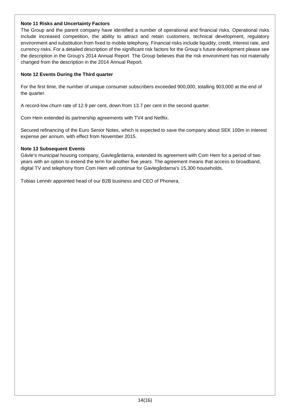### **Note 11 Risks and Uncertainty Factors**

The Group and the parent company have identified a number of operational and financial risks. Operational risks include increased competition, the ability to attract and retain customers, technical development, regulatory environment and substitution from fixed to mobile telephony. Financial risks include liquidity, credit, interest rate, and currency risks. For a detailed description of the significant risk factors for the Group's future development please see the description in the Group's 2014 Annual Report. The Group believes that the risk environment has not materially changed from the description in the 2014 Annual Report.

### **Note 12 Events During the Third quarter**

For the first time, the number of unique consumer subscribers exceeded 900,000, totalling 903,000 at the end of the quarter.

A record-low churn rate of 12.9 per cent, down from 13.7 per cent in the second quarter.

Com Hem extended its partnership agreements with TV4 and Netflix.

Secured refinancing of the Euro Senior Notes, which is expected to save the company about SEK 100m in interest expense per annum, with effect from November 2015.

### **Note 13 Subsequent Events**

Gävle's municipal housing company, Gavlegårdarna, extended its agreement with Com Hem for a period of two years with an option to extend the term for another five years. The agreement means that access to broadband, digital TV and telephony from Com Hem will continue for Gavlegårdarna's 15,300 households.

Tobias Lennér appointed head of our B2B business and CEO of Phonera.